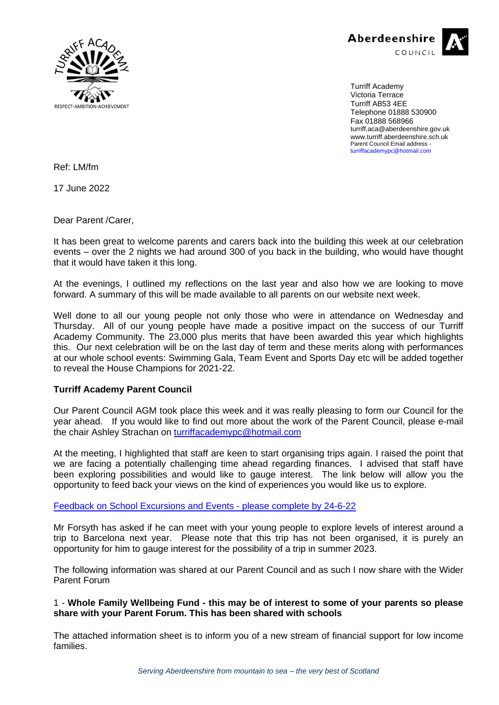



Turriff Academy Victoria Terrace Turriff AB53 4EE Telephone 01888 530900 Fax 01888 568966 [turriff.aca@aberdeenshire.gov.uk](mailto:turriff.aca@aberdeenshire.gov.uk) [www.turriff.aberdeenshire.sch.uk](http://www.turriff.aberdeenshire.sch.uk/) Parent Council Email address [turriffacademypc@hotmail.com](mailto:turriffacademypc@hotmail.com)

Ref: LM/fm

17 June 2022

Dear Parent /Carer,

It has been great to welcome parents and carers back into the building this week at our celebration events – over the 2 nights we had around 300 of you back in the building, who would have thought that it would have taken it this long.

At the evenings, I outlined my reflections on the last year and also how we are looking to move forward. A summary of this will be made available to all parents on our website next week.

Well done to all our young people not only those who were in attendance on Wednesday and Thursday. All of our young people have made a positive impact on the success of our Turriff Academy Community. The 23,000 plus merits that have been awarded this year which highlights this. Our next celebration will be on the last day of term and these merits along with performances at our whole school events: Swimming Gala, Team Event and Sports Day etc will be added together to reveal the House Champions for 2021-22.

# **Turriff Academy Parent Council**

Our Parent Council AGM took place this week and it was really pleasing to form our Council for the year ahead. If you would like to find out more about the work of the Parent Council, please e-mail the chair Ashley Strachan on [turriffacademypc@hotmail.com](mailto:turriffacademypc@hotmail.com)

At the meeting, I highlighted that staff are keen to start organising trips again. I raised the point that we are facing a potentially challenging time ahead regarding finances. I advised that staff have been exploring possibilities and would like to gauge interest. The link below will allow you the opportunity to feed back your views on the kind of experiences you would like us to explore.

[Feedback on School Excursions and Events -](https://forms.office.com/r/hfu8HCV9W7) please complete by 24-6-22

Mr Forsyth has asked if he can meet with your young people to explore levels of interest around a trip to Barcelona next year. Please note that this trip has not been organised, it is purely an opportunity for him to gauge interest for the possibility of a trip in summer 2023.

The following information was shared at our Parent Council and as such I now share with the Wider Parent Forum

#### 1 - **Whole Family Wellbeing Fund - this may be of interest to some of your parents so please share with your Parent Forum. This has been shared with schools**

The attached information sheet is to inform you of a new stream of financial support for low income families.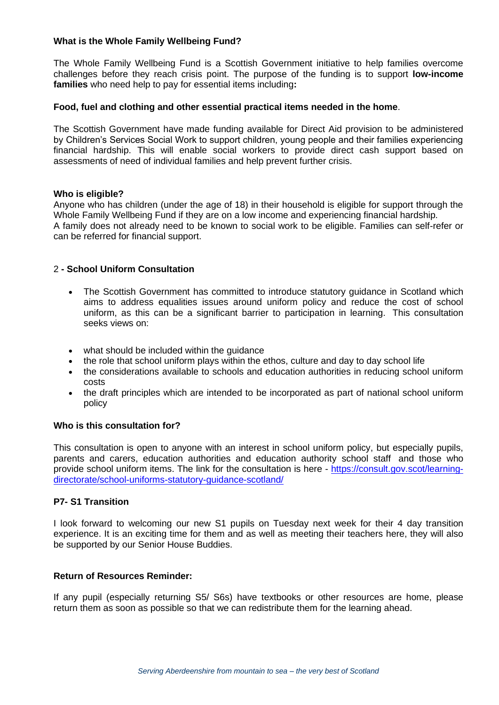# **What is the Whole Family Wellbeing Fund?**

The Whole Family Wellbeing Fund is a Scottish Government initiative to help families overcome challenges before they reach crisis point. The purpose of the funding is to support **low-income families** who need help to pay for essential items including**:**

### **Food, fuel and clothing and other essential practical items needed in the home**.

The Scottish Government have made funding available for Direct Aid provision to be administered by Children's Services Social Work to support children, young people and their families experiencing financial hardship. This will enable social workers to provide direct cash support based on assessments of need of individual families and help prevent further crisis.

#### **Who is eligible?**

Anyone who has children (under the age of 18) in their household is eligible for support through the Whole Family Wellbeing Fund if they are on a low income and experiencing financial hardship. A family does not already need to be known to social work to be eligible. Families can self-refer or can be referred for financial support.

# 2 **- School Uniform Consultation**

- The Scottish Government has committed to introduce statutory guidance in Scotland which aims to address equalities issues around uniform policy and reduce the cost of school uniform, as this can be a significant barrier to participation in learning. This consultation seeks views on:
- what should be included within the guidance
- the role that school uniform plays within the ethos, culture and day to day school life
- the considerations available to schools and education authorities in reducing school uniform costs
- the draft principles which are intended to be incorporated as part of national school uniform policy

#### **Who is this consultation for?**

This consultation is open to anyone with an interest in school uniform policy, but especially pupils, parents and carers, education authorities and education authority school staff and those who provide school uniform items. The link for the consultation is here - [https://consult.gov.scot/learning](https://consult.gov.scot/learning-directorate/school-uniforms-statutory-guidance-scotland/)[directorate/school-uniforms-statutory-guidance-scotland/](https://consult.gov.scot/learning-directorate/school-uniforms-statutory-guidance-scotland/)

# **P7- S1 Transition**

I look forward to welcoming our new S1 pupils on Tuesday next week for their 4 day transition experience. It is an exciting time for them and as well as meeting their teachers here, they will also be supported by our Senior House Buddies.

#### **Return of Resources Reminder:**

If any pupil (especially returning S5/ S6s) have textbooks or other resources are home, please return them as soon as possible so that we can redistribute them for the learning ahead.